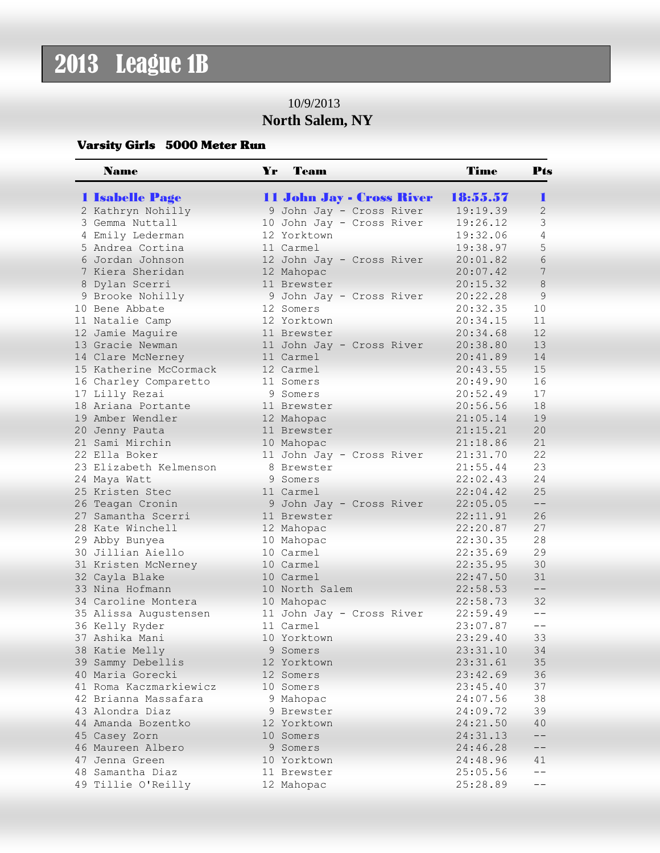## 2013 League 1B

## 10/9/2013 **North Salem, NY**

## Varsity Girls 5000 Meter Run

| <b>Name</b>            | Yr | Team                      | Time     | Pts              |
|------------------------|----|---------------------------|----------|------------------|
| <b>1 Isabelle Page</b> |    | 11 John Jay - Cross River | 18:55.57 | ٠                |
| 2 Kathryn Nohilly      |    | 9 John Jay - Cross River  | 19:19.39 | $\overline{2}$   |
| 3 Gemma Nuttall        |    | 10 John Jay - Cross River | 19:26.12 | 3                |
| 4 Emily Lederman       |    | 12 Yorktown               | 19:32.06 | 4                |
| 5 Andrea Cortina       |    | 11 Carmel                 | 19:38.97 | 5                |
| 6 Jordan Johnson       |    | 12 John Jay - Cross River | 20:01.82 | $6\,$            |
| 7 Kiera Sheridan       |    | 12 Mahopac                | 20:07.42 | $\boldsymbol{7}$ |
| 8 Dylan Scerri         |    | 11 Brewster               | 20:15.32 | $\,8\,$          |
| 9 Brooke Nohilly       |    | 9 John Jay - Cross River  | 20:22.28 | 9                |
| 10 Bene Abbate         |    | 12 Somers                 | 20:32.35 | 10               |
| 11 Natalie Camp        |    | 12 Yorktown               | 20:34.15 | 11               |
| 12 Jamie Maguire       |    | 11 Brewster               | 20:34.68 | 12               |
| 13 Gracie Newman       |    | 11 John Jay - Cross River | 20:38.80 | 13               |
| 14 Clare McNerney      |    | 11 Carmel                 | 20:41.89 | 14               |
| 15 Katherine McCormack |    | 12 Carmel                 | 20:43.55 | 15               |
| 16 Charley Comparetto  |    | 11 Somers                 | 20:49.90 | 16               |
| 17 Lilly Rezai         |    | 9 Somers                  | 20:52.49 | 17               |
| 18 Ariana Portante     |    | 11 Brewster               | 20:56.56 | 18               |
| 19 Amber Wendler       |    | 12 Mahopac                | 21:05.14 | 19               |
| 20 Jenny Pauta         |    | 11 Brewster               | 21:15.21 | 20               |
| 21 Sami Mirchin        |    | 10 Mahopac                | 21:18.86 | 21               |
| 22 Ella Boker          |    | 11 John Jay - Cross River | 21:31.70 | 22               |
| 23 Elizabeth Kelmenson |    | 8 Brewster                | 21:55.44 | 23               |
| 24 Maya Watt           |    | 9 Somers                  | 22:02.43 | 24               |
| 25 Kristen Stec        |    | 11 Carmel                 | 22:04.42 | 25               |
| 26 Teagan Cronin       |    | 9 John Jay - Cross River  | 22:05.05 | $- -$            |
| 27 Samantha Scerri     |    | 11 Brewster               | 22:11.91 | 26               |
| 28 Kate Winchell       |    | 12 Mahopac                | 22:20.87 | 27               |
| 29 Abby Bunyea         |    | 10 Mahopac                | 22:30.35 | 28               |
| 30 Jillian Aiello      |    | 10 Carmel                 | 22:35.69 | 29               |
| 31 Kristen McNerney    |    | 10 Carmel                 | 22:35.95 | 30               |
| 32 Cayla Blake         |    | 10 Carmel                 | 22:47.50 | 31               |
| 33 Nina Hofmann        |    | 10 North Salem            | 22:58.53 | $- -$            |
| 34 Caroline Montera    |    | 10 Mahopac                | 22:58.73 | 32               |
| 35 Alissa Augustensen  |    | 11 John Jay - Cross River | 22:59.49 | $-$              |
| 36 Kelly Ryder         |    | 11 Carmel                 | 23:07.87 | $- -$            |
| 37 Ashika Mani         |    | 10 Yorktown               | 23:29.40 | 33               |
| 38 Katie Melly         | 9  | Somers                    | 23:31.10 | 34               |
| 39 Sammy Debellis      |    | 12 Yorktown               | 23:31.61 | 35               |
| 40 Maria Gorecki       |    | 12 Somers                 | 23:42.69 | 36               |
| 41 Roma Kaczmarkiewicz |    | 10 Somers                 | 23:45.40 | 37               |
| 42 Brianna Massafara   |    | 9 Mahopac                 | 24:07.56 | 38               |
| 43 Alondra Diaz        |    | 9 Brewster                | 24:09.72 | 39               |
| 44 Amanda Bozentko     |    | 12 Yorktown               | 24:21.50 | 40               |
| 45 Casey Zorn          |    | 10 Somers                 | 24:31.13 | --               |
| 46 Maureen Albero      |    | 9 Somers                  | 24:46.28 | ——               |
| 47 Jenna Green         |    | 10 Yorktown               | 24:48.96 | 41               |
| 48 Samantha Diaz       |    | 11 Brewster               | 25:05.56 | $ -$             |
| 49 Tillie O'Reilly     |    | 12 Mahopac                | 25:28.89 |                  |